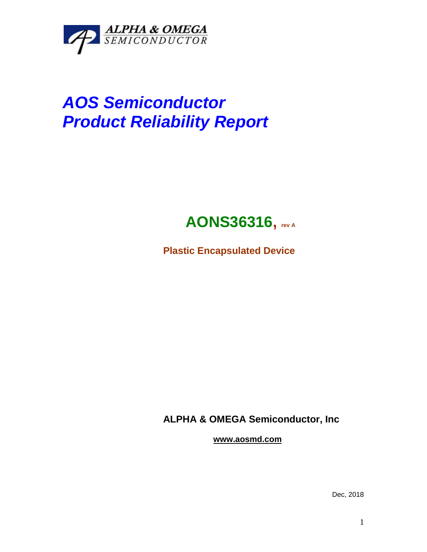

# *AOS Semiconductor Product Reliability Report*

## **AONS36316, rev <sup>A</sup>**

**Plastic Encapsulated Device**

**ALPHA & OMEGA Semiconductor, Inc**

**www.aosmd.com**

Dec, 2018